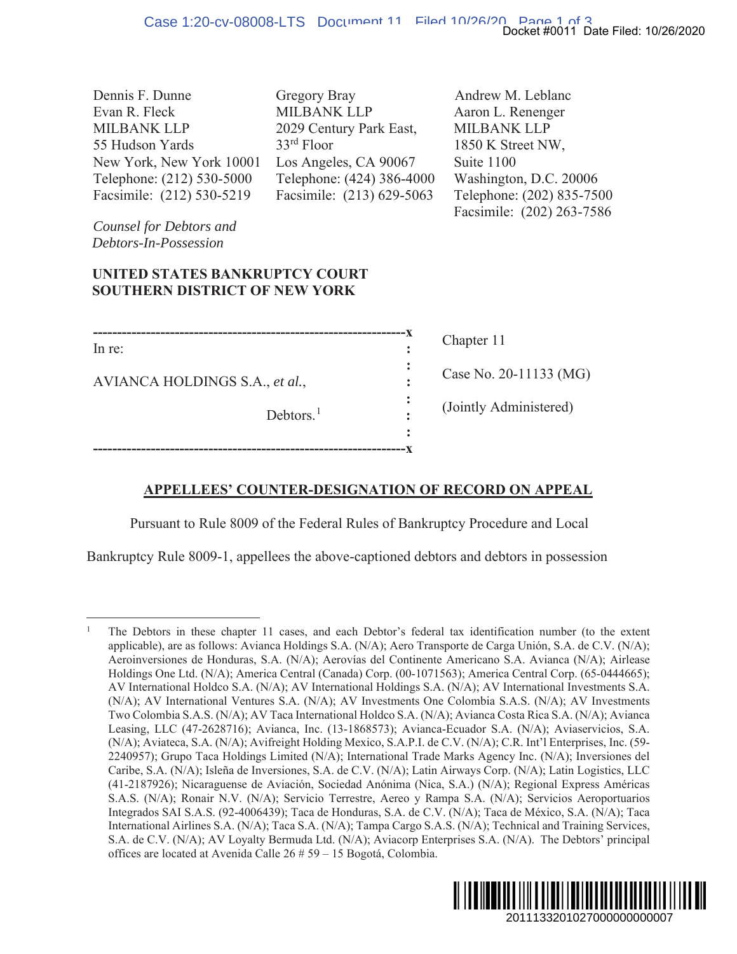| Dennis F. Dunne           | Gregory Bray              | Andrew M. Leblanc         |
|---------------------------|---------------------------|---------------------------|
| Evan R. Fleck             | MILBANK LLP               | Aaron L. Renenger         |
| <b>MILBANK LLP</b>        | 2029 Century Park East,   | <b>MILBANK LLP</b>        |
| 55 Hudson Yards           | $33rd$ Floor              | 1850 K Street NW,         |
| New York, New York 10001  | Los Angeles, CA 90067     | Suite 1100                |
| Telephone: (212) 530-5000 | Telephone: (424) 386-4000 | Washington, D.C. 20006    |
| Facsimile: (212) 530-5219 | Facsimile: (213) 629-5063 | Telephone: (202) 835-7500 |
|                           |                           | Facsimile: (202) 263-7586 |

*Counsel for Debtors and Debtors-In-Possession* 

#### **UNITED STATES BANKRUPTCY COURT SOUTHERN DISTRICT OF NEW YORK**

| In re: |  |
|--------|--|

**-----------------------------------------------------------------x**

AVIANCA HOLDINGS S.A., *et al.*, **:**

Debtors.<sup>1</sup>

Chapter 11

Case No. 20-11133 (MG)

(Jointly Administered)

# **APPELLEES' COUNTER-DESIGNATION OF RECORD ON APPEAL**

**:**

**:** 

**:** 

Pursuant to Rule 8009 of the Federal Rules of Bankruptcy Procedure and Local

Bankruptcy Rule 8009-1, appellees the above-captioned debtors and debtors in possession

<sup>1</sup> The Debtors in these chapter 11 cases, and each Debtor's federal tax identification number (to the extent applicable), are as follows: Avianca Holdings S.A. (N/A); Aero Transporte de Carga Unión, S.A. de C.V. (N/A); Aeroinversiones de Honduras, S.A. (N/A); Aerovías del Continente Americano S.A. Avianca (N/A); Airlease Holdings One Ltd. (N/A); America Central (Canada) Corp. (00-1071563); America Central Corp. (65-0444665); AV International Holdco S.A. (N/A); AV International Holdings S.A. (N/A); AV International Investments S.A. (N/A); AV International Ventures S.A. (N/A); AV Investments One Colombia S.A.S. (N/A); AV Investments Two Colombia S.A.S. (N/A); AV Taca International Holdco S.A. (N/A); Avianca Costa Rica S.A. (N/A); Avianca Leasing, LLC (47-2628716); Avianca, Inc. (13-1868573); Avianca-Ecuador S.A. (N/A); Aviaservicios, S.A. (N/A); Aviateca, S.A. (N/A); Avifreight Holding Mexico, S.A.P.I. de C.V. (N/A); C.R. Int'l Enterprises, Inc. (59- 2240957); Grupo Taca Holdings Limited (N/A); International Trade Marks Agency Inc. (N/A); Inversiones del Caribe, S.A. (N/A); Isleña de Inversiones, S.A. de C.V. (N/A); Latin Airways Corp. (N/A); Latin Logistics, LLC (41-2187926); Nicaraguense de Aviación, Sociedad Anónima (Nica, S.A.) (N/A); Regional Express Américas S.A.S. (N/A); Ronair N.V. (N/A); Servicio Terrestre, Aereo y Rampa S.A. (N/A); Servicios Aeroportuarios Integrados SAI S.A.S. (92-4006439); Taca de Honduras, S.A. de C.V. (N/A); Taca de México, S.A. (N/A); Taca International Airlines S.A. (N/A); Taca S.A. (N/A); Tampa Cargo S.A.S. (N/A); Technical and Training Services, S.A. de C.V. (N/A); AV Loyalty Bermuda Ltd. (N/A); Aviacorp Enterprises S.A. (N/A). The Debtors' principal offices are located at Avenida Calle 26 # 59 – 15 Bogotá, Colombia. Docket #0011 Date Filed: 10/26/2020<br>
M. Leblanc<br>
Renenger<br>
NK LLP<br>
Renenger<br>
NK LLP<br>
100<br>
000<br>
ne: (202) 835-7500<br>
c: (202) 835-7500<br>
c: (202) 263-7586<br>
c: (202) 263-7586<br>
c: (202) 263-7586<br>
c: (202) 263-7586<br>
(2011-11133

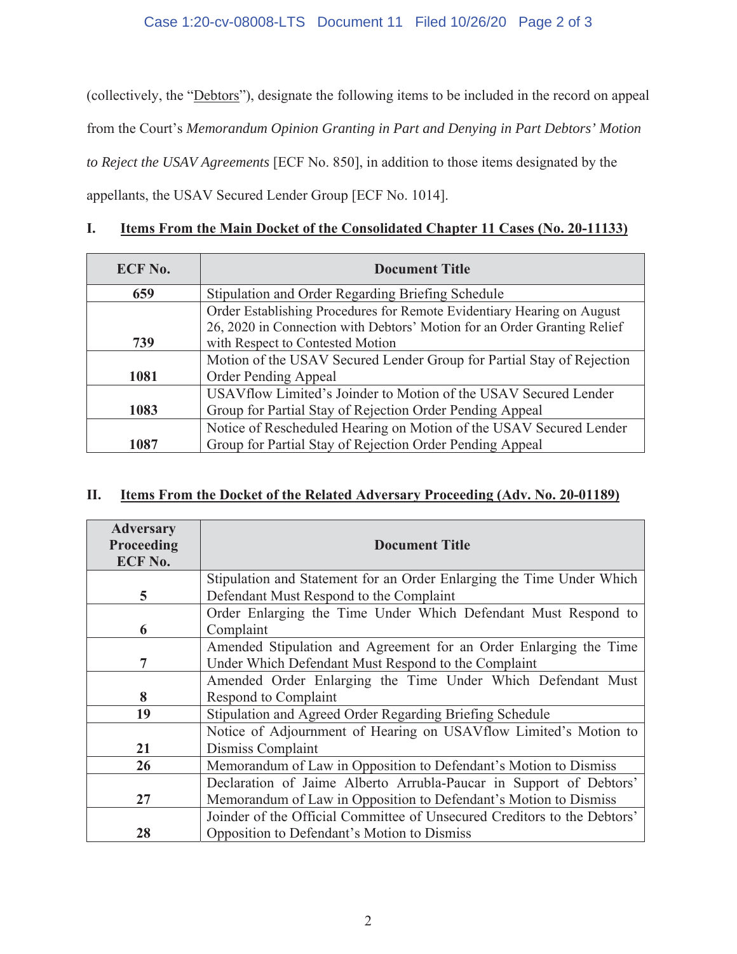#### Case 1:20-cv-08008-LTS Document 11 Filed 10/26/20 Page 2 of 3

(collectively, the "Debtors"), designate the following items to be included in the record on appeal from the Court's *Memorandum Opinion Granting in Part and Denying in Part Debtors' Motion to Reject the USAV Agreements* [ECF No. 850], in addition to those items designated by the appellants, the USAV Secured Lender Group [ECF No. 1014].

## **I. Items From the Main Docket of the Consolidated Chapter 11 Cases (No. 20-11133)**

| <b>ECF No.</b> | <b>Document Title</b>                                                                                                                              |  |
|----------------|----------------------------------------------------------------------------------------------------------------------------------------------------|--|
| 659            | <b>Stipulation and Order Regarding Briefing Schedule</b>                                                                                           |  |
|                | Order Establishing Procedures for Remote Evidentiary Hearing on August<br>26, 2020 in Connection with Debtors' Motion for an Order Granting Relief |  |
| 739            | with Respect to Contested Motion                                                                                                                   |  |
|                | Motion of the USAV Secured Lender Group for Partial Stay of Rejection                                                                              |  |
| 1081           | <b>Order Pending Appeal</b>                                                                                                                        |  |
|                | USAV flow Limited's Joinder to Motion of the USAV Secured Lender                                                                                   |  |
| 1083           | Group for Partial Stay of Rejection Order Pending Appeal                                                                                           |  |
|                | Notice of Rescheduled Hearing on Motion of the USAV Secured Lender                                                                                 |  |
| 1087           | Group for Partial Stay of Rejection Order Pending Appeal                                                                                           |  |

## **II. Items From the Docket of the Related Adversary Proceeding (Adv. No. 20-01189)**

| <b>Adversary</b><br>Proceeding<br><b>ECF No.</b> | <b>Document Title</b>                                                    |  |
|--------------------------------------------------|--------------------------------------------------------------------------|--|
|                                                  | Stipulation and Statement for an Order Enlarging the Time Under Which    |  |
| 5                                                | Defendant Must Respond to the Complaint                                  |  |
|                                                  | Order Enlarging the Time Under Which Defendant Must Respond to           |  |
| 6                                                | Complaint                                                                |  |
|                                                  | Amended Stipulation and Agreement for an Order Enlarging the Time        |  |
| 7                                                | Under Which Defendant Must Respond to the Complaint                      |  |
|                                                  | Amended Order Enlarging the Time Under Which Defendant Must              |  |
| 8                                                | <b>Respond to Complaint</b>                                              |  |
| 19                                               | Stipulation and Agreed Order Regarding Briefing Schedule                 |  |
|                                                  | Notice of Adjournment of Hearing on USAV flow Limited's Motion to        |  |
| 21                                               | Dismiss Complaint                                                        |  |
| 26                                               | Memorandum of Law in Opposition to Defendant's Motion to Dismiss         |  |
|                                                  | Declaration of Jaime Alberto Arrubla-Paucar in Support of Debtors'       |  |
| 27                                               | Memorandum of Law in Opposition to Defendant's Motion to Dismiss         |  |
|                                                  | Joinder of the Official Committee of Unsecured Creditors to the Debtors' |  |
| 28                                               | Opposition to Defendant's Motion to Dismiss                              |  |